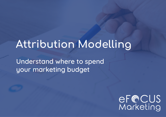# **Attribution Modelling**

Understand where to spend your marketing budget

eF@CUS<br>Marketing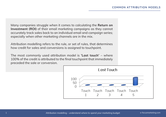Many companies struggle when it comes to calculating the **Return on Investment (ROI)** of their email marketing campaigns as they cannot accurately track sales back to an individual email and campaign series; especially when other marketing channels are in the mix.

Attribution modelling refers to the rule, or set of rules, that determines how credit for sales and conversions is assigned to touchpoint.

The most commonly used attribution model is **'Last touch'** – where 100% of the credit is attributed to the final touchpoint that immediately preceded the sale or conversion.

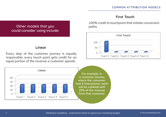### **First Touch**

100% credit to touchpoint that initiate conversion paths



### Other models that you could consider using include:

### **Linear**

Every step of the customer journey is equally responsible; every touch point gets credit for an equal portion of the revenue a customer spends.

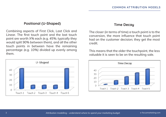#### **Positional (U-Shaped)**

Combining aspects of First Click, Last Click and Linear. The first touch point and the last touch point are worth X% each *(e.g. 45%; typically they would split 90% between them)*, and all the other touch points in between have the remaining percentage *(e.g. 10%)* divided up evenly among them.



#### **Time Decay**

The closer (in terms of time) a touch point is to the conversion, the more influence that touch point had on the customer decision; they get the most credit.

This means that the older the touchpoint, the less valuable it is seen to be on the resulting sale.

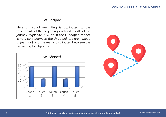#### **W-Shaped**

Here an equal weighting is attributed to the touchpoints at the beginning, end and middle of the journey *(typically 90% as in the U-shaped model, is now split between the three points here instead of just two)* and the rest is distributed between the remaining touchpoints.



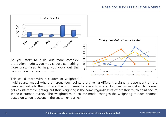

As you start to build out more complex attribution models, you may choose something more customised to help you work out the contribution from each source.

This could start with a custom or weighted

multi-source model where different touchpoints are given a different weighting dependent on the perceived value to the business (this is different for every business). In a custom model each channel gets a different weighting, but that weighting is the same regardless of where that touch point occurs in the customer journey. The weighted multi-source model changes the weighting of each channel based on when it occurs in the customer journey.

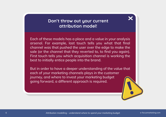### **Don't throw out your current attribution model!**

Each of these models has a place and a value in your analysis arsenal. For example, last touch tells you what that final channel was that pushed the user over the edge to make the sale (or the channel that they reverted to, to find you again). First touch tells you which acquisition channel is working the best to initially entice people into the brand.

But in order to have a deeper understanding of the value that each of your marketing channels plays in the customer journey, and where to invest your marketing budget going forward, a different approach is required.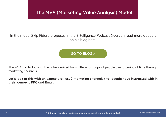### **The MVA (Marketing Value Analysis) Model**

### In the model Skip Fidura proposes in the E-telligence Podcast (you can read more about it on his blog here:

**[GO TO BLOG >](https://www.skipfidura.live/blog)**

The MVA model looks at the value derived from different groups of people over a period of time through marketing channels.

**Let's look at this with an example of just 2 marketing channels that people have interacted with in their journey… PPC and Email.**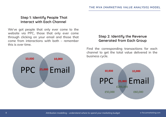### **Step 1: Identify People That Interact with Each Channel**

We've got people that only ever come to the website via PPC, those that only ever come through clicking on your email and those that come from interactions with both – remember this is over time.



### **Step 2: Identify the Revenue Generated from Each Group**

Find the corresponding transactions for each channel to get the total value delivered in the business cycle.

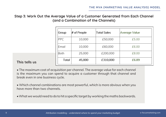**Step 3: Work Out the Average Value of a Customer Generated from Each Channel (and a Combination of the Channels)**

| Group      | $#$ of People | <b>Total Sales</b> | Average Value |
|------------|---------------|--------------------|---------------|
| <b>PPC</b> | 10,000        | £50,000            | £5.00         |
| Email      | 10,000        | £60,000            | £6.00         |
| Both       | 25,000        | £200,000           | £8.00         |
| Total      | 45,000        | £310,000           | £6.89         |

### **This tells us**

• The maximum cost of acquisition per channel. The average value for each channel is the maximum you can spend to acquire a customer through that channel and break even in one business cycle.

• Which channel combinations are most powerful, which is more obvious when you have more than two channels.

• What we would need to do to hit a specific target by working the maths backwards.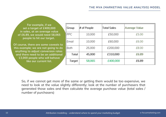**For example, if we set a target of £400,000 in sales, at an average value of £6.89, we would need 58,065 people to hit our target.** 

**Of course, there are some caveats to this example; we are not going to do anything to adjust conversion rates and there need to be an additional 13,000 people who will behave like our current list.**

| Group  | $#$ of People | <b>Total Sales</b> | Average Value |  |
|--------|---------------|--------------------|---------------|--|
| PPC    | 10,000        | £50,000            | £5.00         |  |
| Email  | 10,000        | £60,000            | £6.00         |  |
| Both   | 25,000        | £200,000           | £8.00         |  |
| Total  | 45,000        | £310,000           | £6.89         |  |
| Target | 58,065        | £400,000           | £6.89         |  |

So, if we cannot get more of the same or getting them would be too expensive, we need to look at the value slightly differently; look at the number of purchasers that generated those sales and then calculate the average purchase value (total sales / number of purchasers)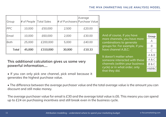cycle) or in what order, only

that they did.

| Group                                                                               | # of People Total Sales |          |        | Average<br># of Purchasers Purchase Value |                                                            |       |
|-------------------------------------------------------------------------------------|-------------------------|----------|--------|-------------------------------------------|------------------------------------------------------------|-------|
| <b>PPC</b>                                                                          | 10,000                  | £50,000  | 2,500  | £20.00                                    |                                                            |       |
| Email                                                                               | 10,000                  | £60,000  | 2,000  | £30.00                                    | And of course, if you have<br>more channels, you have more | Group |
| Both                                                                                | 25,000                  | £200,000 | 5,000  | £40.00                                    | combinations to generate                                   | А     |
|                                                                                     |                         |          |        |                                           | groups for. For example, if you                            | B     |
| Total                                                                               | 45,000                  | £310,000 | 30,000 | £10.33                                    | have channel A,B,C:                                        | C     |
| This additional calculation gives us some very<br>re a consulo de la france sitiene |                         |          |        |                                           | It doesn't matter when                                     | A&B   |
|                                                                                     |                         |          |        |                                           | someone interacted with these                              | A&C   |
|                                                                                     |                         |          |        |                                           | channels (within your business                             | B&C   |

**powerful information….**

• If you can only pick one channel, pick email because it generates the highest purchase value.

• The difference between the average purchaser value and the total average value is the amount you can discount and still make money.

The average purchaser value for email is £30 and the average total value is £6. This means you can spend up to £24 on purchasing incentives and still break even in the business cycle.

A&B&C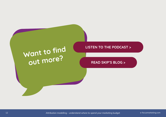## **Want to find out more?**

### **LISTEN TO THE PODCAST >**

**[READ SKIP'S BLOG >](https://www.skipfidura.live/blog)**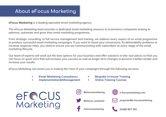### **About eFocus Marketing**

**eFocus Marketing** is a leading specialist email marketing agency.

The eFocus Marketing team provides a dedicated email marketing resource to ecommerce companies looking to optimise, automate and grow their email marketing programme.

From strategic consulting, to full service management and training, we address every aspect of an email programme to produce successful email marketing campaigns. If you want to boost your conversions, fix deliverability problems or increase response rates, you need to ensure you are communicating with subscribers at every stage of the email marketing lifecycle.

Our team of experts will work out the best options for your business and offer solutions in bite-size pieces so that you can focus on quick wins that will increase your success as well as longer term changes to become a better sender and increase your results.

eFocus Marketing can assist you in making the most of your campaigns through the following services:

- **• Email Marketing Consultancy**
- **• Implementation & Management**
- **• Bespoke In-house Training**
- **• Online Training Courses**







**[@efocusmarketing](http://instagram.com/efocusmarketing)**



**[e-focusmarketing.com](http://www.e-focusmarketing.com)**

**[enquiries@e-focusmarketing.](mailto:enquiries%40e-focusmarketing.com?subject=I%27ve%20read%20your%20E-telligence%20guide%21)**

**[/efocusmarketing](http://facebook.com/efocusmarketing)**

**[01689 897 592](tel:01689897592)**